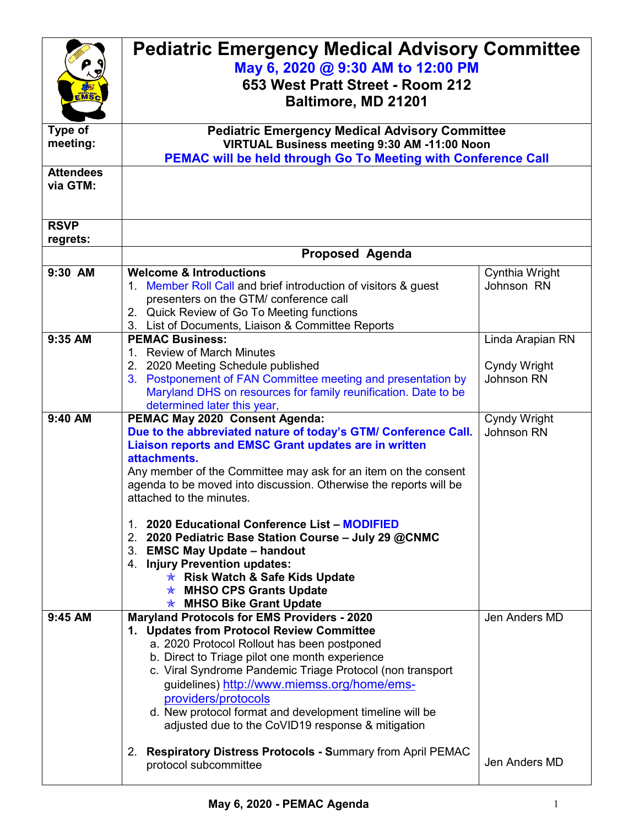|                  | <b>Pediatric Emergency Medical Advisory Committee</b>                                                 |                  |  |
|------------------|-------------------------------------------------------------------------------------------------------|------------------|--|
|                  | May 6, 2020 @ 9:30 AM to 12:00 PM                                                                     |                  |  |
|                  |                                                                                                       |                  |  |
| <b>MSc</b>       | 653 West Pratt Street - Room 212                                                                      |                  |  |
|                  | Baltimore, MD 21201                                                                                   |                  |  |
| Type of          |                                                                                                       |                  |  |
| meeting:         | <b>Pediatric Emergency Medical Advisory Committee</b><br>VIRTUAL Business meeting 9:30 AM -11:00 Noon |                  |  |
|                  | <b>PEMAC will be held through Go To Meeting with Conference Call</b>                                  |                  |  |
| <b>Attendees</b> |                                                                                                       |                  |  |
| via GTM:         |                                                                                                       |                  |  |
|                  |                                                                                                       |                  |  |
|                  |                                                                                                       |                  |  |
| <b>RSVP</b>      |                                                                                                       |                  |  |
| regrets:         |                                                                                                       |                  |  |
|                  | Proposed Agenda                                                                                       |                  |  |
| 9:30 AM          | <b>Welcome &amp; Introductions</b>                                                                    | Cynthia Wright   |  |
|                  | 1. Member Roll Call and brief introduction of visitors & guest                                        | Johnson RN       |  |
|                  | presenters on the GTM/ conference call<br>2. Quick Review of Go To Meeting functions                  |                  |  |
|                  | 3. List of Documents, Liaison & Committee Reports                                                     |                  |  |
| 9:35 AM          | <b>PEMAC Business:</b>                                                                                | Linda Arapian RN |  |
|                  | 1. Review of March Minutes                                                                            |                  |  |
|                  | 2. 2020 Meeting Schedule published                                                                    | Cyndy Wright     |  |
|                  | 3. Postponement of FAN Committee meeting and presentation by                                          | Johnson RN       |  |
|                  | Maryland DHS on resources for family reunification. Date to be                                        |                  |  |
|                  | determined later this year,                                                                           |                  |  |
| 9:40 AM          | PEMAC May 2020 Consent Agenda:                                                                        | Cyndy Wright     |  |
|                  | Due to the abbreviated nature of today's GTM/ Conference Call.                                        | Johnson RN       |  |
|                  | Liaison reports and EMSC Grant updates are in written                                                 |                  |  |
|                  | attachments.                                                                                          |                  |  |
|                  | Any member of the Committee may ask for an item on the consent                                        |                  |  |
|                  | agenda to be moved into discussion. Otherwise the reports will be<br>attached to the minutes.         |                  |  |
|                  |                                                                                                       |                  |  |
|                  | 1. 2020 Educational Conference List - MODIFIED                                                        |                  |  |
|                  | 2. 2020 Pediatric Base Station Course - July 29 @CNMC                                                 |                  |  |
|                  | 3. EMSC May Update - handout                                                                          |                  |  |
|                  | 4. Injury Prevention updates:                                                                         |                  |  |
|                  | <b>★ Risk Watch &amp; Safe Kids Update</b>                                                            |                  |  |
|                  | <b>★ MHSO CPS Grants Update</b>                                                                       |                  |  |
|                  | <b>★ MHSO Bike Grant Update</b>                                                                       |                  |  |
| 9:45 AM          | <b>Maryland Protocols for EMS Providers - 2020</b><br>1. Updates from Protocol Review Committee       | Jen Anders MD    |  |
|                  | a. 2020 Protocol Rollout has been postponed                                                           |                  |  |
|                  | b. Direct to Triage pilot one month experience                                                        |                  |  |
|                  | c. Viral Syndrome Pandemic Triage Protocol (non transport                                             |                  |  |
|                  | guidelines) http://www.miemss.org/home/ems-                                                           |                  |  |
|                  | providers/protocols                                                                                   |                  |  |
|                  | d. New protocol format and development timeline will be                                               |                  |  |
|                  | adjusted due to the CoVID19 response & mitigation                                                     |                  |  |
|                  |                                                                                                       |                  |  |
|                  | 2. Respiratory Distress Protocols - Summary from April PEMAC                                          | Jen Anders MD    |  |
|                  | protocol subcommittee                                                                                 |                  |  |
|                  |                                                                                                       |                  |  |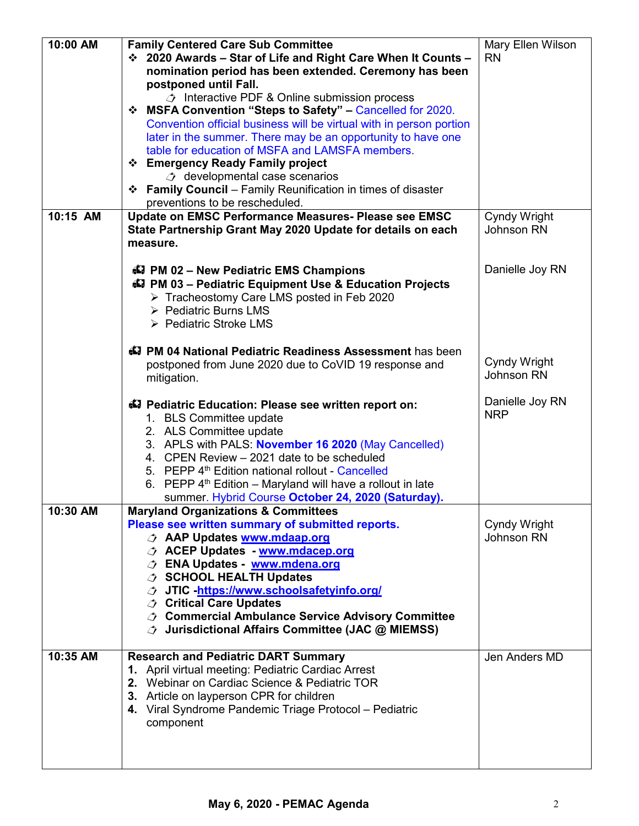| 10:00 AM | <b>Family Centered Care Sub Committee</b><br>❖ 2020 Awards - Star of Life and Right Care When It Counts -<br>nomination period has been extended. Ceremony has been<br>postponed until Fall.<br>$\triangle$ Interactive PDF & Online submission process<br><b>☆ MSFA Convention "Steps to Safety" – Cancelled for 2020.</b><br>Convention official business will be virtual with in person portion<br>later in the summer. There may be an opportunity to have one                                                                              | Mary Ellen Wilson<br><b>RN</b> |
|----------|-------------------------------------------------------------------------------------------------------------------------------------------------------------------------------------------------------------------------------------------------------------------------------------------------------------------------------------------------------------------------------------------------------------------------------------------------------------------------------------------------------------------------------------------------|--------------------------------|
|          | table for education of MSFA and LAMSFA members.<br>❖ Emergency Ready Family project<br><b><i><i>i</i></i></b> developmental case scenarios<br>❖ Family Council – Family Reunification in times of disaster<br>preventions to be rescheduled.                                                                                                                                                                                                                                                                                                    |                                |
| 10:15 AM | Update on EMSC Performance Measures- Please see EMSC<br>State Partnership Grant May 2020 Update for details on each<br>measure.                                                                                                                                                                                                                                                                                                                                                                                                                 | Cyndy Wright<br>Johnson RN     |
|          | <b>47 PM 02 - New Pediatric EMS Champions</b><br>47 PM 03 - Pediatric Equipment Use & Education Projects<br>Tracheostomy Care LMS posted in Feb 2020<br>> Pediatric Burns LMS<br>▶ Pediatric Stroke LMS                                                                                                                                                                                                                                                                                                                                         | Danielle Joy RN                |
|          | 47 PM 04 National Pediatric Readiness Assessment has been<br>postponed from June 2020 due to CoVID 19 response and<br>mitigation.                                                                                                                                                                                                                                                                                                                                                                                                               | Cyndy Wright<br>Johnson RN     |
|          | 47 Pediatric Education: Please see written report on:<br>1. BLS Committee update<br>2. ALS Committee update<br>3. APLS with PALS: November 16 2020 (May Cancelled)<br>4. CPEN Review - 2021 date to be scheduled<br>5. PEPP 4 <sup>th</sup> Edition national rollout - Cancelled<br>6. PEPP $4th$ Edition – Maryland will have a rollout in late<br>summer. Hybrid Course October 24, 2020 (Saturday).                                                                                                                                          | Danielle Joy RN<br><b>NRP</b>  |
| 10:30 AM | <b>Maryland Organizations &amp; Committees</b><br>Please see written summary of submitted reports.<br><b><i><b>AAP Updates www.mdaap.org</b></i></b><br><b><i>ACEP Updates - www.mdacep.org</i></b><br><b><i><b>O</b></i></b> ENA Updates - www.mdena.org<br><b>J SCHOOL HEALTH Updates</b><br><b>JTIC</b> -https://www.schoolsafetyinfo.org/<br><b><i><b><i>O</i></b></i> Critical Care Updates</b><br><b><i><b>↑ Commercial Ambulance Service Advisory Committee</b></i></b><br><b><i>Jurisdictional Affairs Committee (JAC @ MIEMSS)</i></b> | Cyndy Wright<br>Johnson RN     |
| 10:35 AM | <b>Research and Pediatric DART Summary</b><br>1. April virtual meeting: Pediatric Cardiac Arrest<br>2. Webinar on Cardiac Science & Pediatric TOR<br>3. Article on layperson CPR for children<br>4. Viral Syndrome Pandemic Triage Protocol - Pediatric<br>component                                                                                                                                                                                                                                                                            | Jen Anders MD                  |